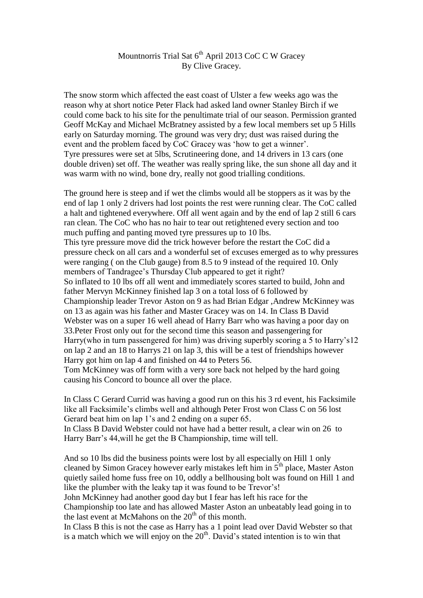## Mountnorris Trial Sat 6<sup>th</sup> April 2013 CoC C W Gracey By Clive Gracey.

The snow storm which affected the east coast of Ulster a few weeks ago was the reason why at short notice Peter Flack had asked land owner Stanley Birch if we could come back to his site for the penultimate trial of our season. Permission granted Geoff McKay and Michael McBratney assisted by a few local members set up 5 Hills early on Saturday morning. The ground was very dry; dust was raised during the event and the problem faced by CoC Gracey was 'how to get a winner'. Tyre pressures were set at 5lbs, Scrutineering done, and 14 drivers in 13 cars (one double driven) set off. The weather was really spring like, the sun shone all day and it was warm with no wind, bone dry, really not good trialling conditions.

The ground here is steep and if wet the climbs would all be stoppers as it was by the end of lap 1 only 2 drivers had lost points the rest were running clear. The CoC called a halt and tightened everywhere. Off all went again and by the end of lap 2 still 6 cars ran clean. The CoC who has no hair to tear out retightened every section and too much puffing and panting moved tyre pressures up to 10 lbs. This tyre pressure move did the trick however before the restart the CoC did a pressure check on all cars and a wonderful set of excuses emerged as to why pressures were ranging ( on the Club gauge) from 8.5 to 9 instead of the required 10. Only members of Tandragee's Thursday Club appeared to get it right? So inflated to 10 lbs off all went and immediately scores started to build, John and father Mervyn McKinney finished lap 3 on a total loss of 6 followed by Championship leader Trevor Aston on 9 as had Brian Edgar ,Andrew McKinney was on 13 as again was his father and Master Gracey was on 14. In Class B David Webster was on a super 16 well ahead of Harry Barr who was having a poor day on 33.Peter Frost only out for the second time this season and passengering for Harry(who in turn passengered for him) was driving superbly scoring a 5 to Harry's12 on lap 2 and an 18 to Harrys 21 on lap 3, this will be a test of friendships however Harry got him on lap 4 and finished on 44 to Peters 56.

Tom McKinney was off form with a very sore back not helped by the hard going causing his Concord to bounce all over the place.

In Class C Gerard Currid was having a good run on this his 3 rd event, his Facksimile like all Facksimile's climbs well and although Peter Frost won Class C on 56 lost Gerard beat him on lap 1's and 2 ending on a super 65.

In Class B David Webster could not have had a better result, a clear win on 26 to Harry Barr's 44,will he get the B Championship, time will tell.

And so 10 lbs did the business points were lost by all especially on Hill 1 only cleaned by Simon Gracey however early mistakes left him in  $5<sup>th</sup>$  place, Master Aston quietly sailed home fuss free on 10, oddly a bellhousing bolt was found on Hill 1 and like the plumber with the leaky tap it was found to be Trevor's!

John McKinney had another good day but I fear has left his race for the Championship too late and has allowed Master Aston an unbeatably lead going in to the last event at McMahons on the  $20<sup>th</sup>$  of this month.

In Class B this is not the case as Harry has a 1 point lead over David Webster so that is a match which we will enjoy on the  $20<sup>th</sup>$ . David's stated intention is to win that